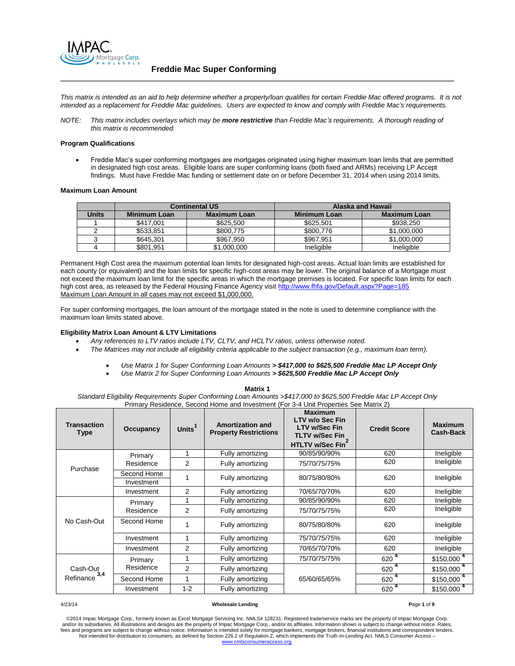

*This matrix is intended as an aid to help determine whether a property/loan qualifies for certain Freddie Mac offered programs. It is not intended as a replacement for Freddie Mac guidelines. Users are expected to know and comply with Freddie Mac's requirements.*

*NOTE: This matrix includes overlays which may be more restrictive than Freddie Mac's requirements. A thorough reading of this matrix is recommended.*

# **Program Qualifications**

 Freddie Mac's super conforming mortgages are mortgages originated using higher maximum loan limits that are permitted in designated high cost areas. Eligible loans are super conforming loans (both fixed and ARMs) receiving LP Accept findings. Must have Freddie Mac funding or settlement date on or before December 31, 2014 when using 2014 limits.

## **Maximum Loan Amount**

|              |                     | <b>Continental US</b> |                     | <b>Alaska and Hawaii</b> |
|--------------|---------------------|-----------------------|---------------------|--------------------------|
| <b>Units</b> | <b>Minimum Loan</b> | <b>Maximum Loan</b>   | <b>Minimum Loan</b> | <b>Maximum Loan</b>      |
|              | \$417,001           | \$625.500             | \$625.501           | \$938,250                |
|              | \$533.851           | \$800.775             | \$800,776           | \$1,000,000              |
|              | \$645,301           | \$967,950             | \$967.951           | \$1,000,000              |
|              | \$801,951           | \$1,000,000           | Ineligible          | Ineligible               |

Permanent High Cost area the maximum potential loan limits for designated high-cost areas. Actual loan limits are established for each county (or equivalent) and the loan limits for specific high-cost areas may be lower. The original balance of a Mortgage must not exceed the maximum loan limit for the specific areas in which the mortgage premises is located. For specific loan limits for each high cost area, as released by the Federal Housing Finance Agency visit<http://www.fhfa.gov/Default.aspx?Page=185> Maximum Loan Amount in all cases may not exceed \$1,000,000.

For super conforming mortgages, the loan amount of the mortgage stated in the note is used to determine compliance with the maximum loan limits stated above.

# **Eligibility Matrix Loan Amount & LTV Limitations**

- *Any references to LTV ratios include LTV, CLTV, and HCLTV ratios, unless otherwise noted.*
- *The Matrices may not include all eligibility criteria applicable to the subject transaction (e.g., maximum loan term).*
	- *Use Matrix 1 for Super Conforming Loan Amounts > \$417,000 to \$625,500 Freddie Mac LP Accept Only*
	- *Use Matrix 2 for Super Conforming Loan Amounts > \$625,500 Freddie Mac LP Accept Only* **Matrix 1**

*Standard Eligibility Requirements Super Conforming Loan Amounts >\$417,000 to \$625,500 Freddie Mac LP Accept Only*  Primary Residence, Second Home and Investment (For 3-4 Unit Properties See Matrix 2) **Transaction Type Occupancy Units<sup>1</sup> Amortization and Property Restrictions Maximum LTV w/o Sec Fin LTV w/Sec Fin TLTV w/Sec Fin HTLTV w/Sec Fin<sup>2</sup> Credit Score Maximum Cash-Back** Primary Residence 1 Fully amortizing 90/85/90/90% 620 Ineligible 2 | Fully amortizing | 75/70/75/75% | 620 | Ineligible

| Purchase                     | Residence   | 2              | Fully amortizing | 75/70/75/75% | 620              | Ineligible              |
|------------------------------|-------------|----------------|------------------|--------------|------------------|-------------------------|
|                              | Second Home |                | Fully amortizing | 80/75/80/80% | 620              | Ineligible              |
|                              | Investment  |                |                  |              |                  |                         |
|                              | Investment  | $\mathcal{P}$  | Fully amortizing | 70/65/70/70% | 620              | Ineligible              |
|                              | Primary     |                | Fully amortizing | 90/85/90/90% | 620              | Ineligible              |
|                              | Residence   | $\overline{2}$ | Fully amortizing | 75/70/75/75% | 620              | Ineligible              |
| No Cash-Out                  | Second Home |                | Fully amortizing | 80/75/80/80% | 620              | Ineligible              |
|                              | Investment  |                | Fully amortizing | 75/70/75/75% | 620              | Ineligible              |
|                              | Investment  | 2              | Fully amortizing | 70/65/70/70% | 620              | Ineligible              |
| Cash-Out<br>3,4<br>Refinance | Primary     |                | Fully amortizing | 75/70/75/75% | 620 <sup>4</sup> | $$150,000$ <sup>4</sup> |
|                              | Residence   | $\overline{2}$ | Fully amortizing |              | 620              | $$150,000$ <sup>4</sup> |
|                              | Second Home |                | Fully amortizing | 65/60/65/65% | 620              | $$150,000$ <sup>4</sup> |
|                              | Investment  | $1 - 2$        | Fully amortizing |              | 620              | \$150,000               |

### 4/23/14 **Wholesale Lending P**age **1** of **9**

©2014 Impac Mortgage Corp., formerly known as Excel Mortgage Servicing Inc. NMLS# 128231. Registered trade/service marks are the property of Impac Mortgage Corp.<br>and/or its subsidiaries. All illustrations and designs are t fees and programs are subject to change without notice. Information is intended solely for mortgage bankers, mortgage brokers, financial institutions and correspondent lenders. Not intended for distribution to consumers, as defined by Section 226.2 of Regulation Z, which implements the Truth-In-Lending Act. NMLS Consumer Access – [www.nmlsconsumeraccess.org.](http://www.nmlsconsumeraccess.org/)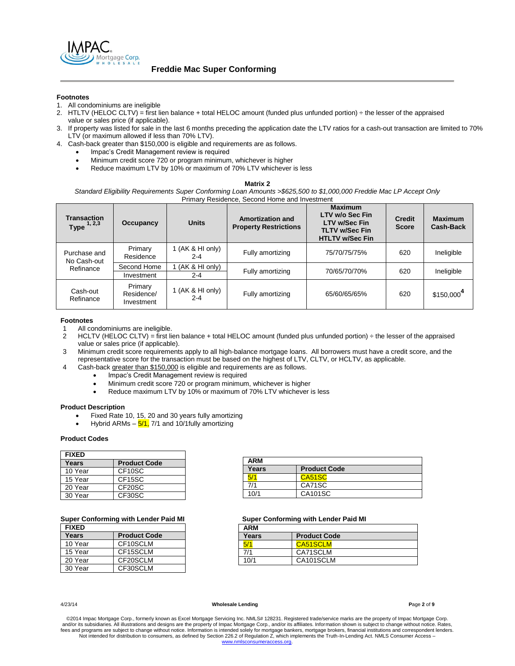

**Freddie Mac Super Conforming** 

# **Footnotes**

- 1. All condominiums are ineligible
- 2. HTLTV (HELOC CLTV) = first lien balance + total HELOC amount (funded plus unfunded portion) ÷ the lesser of the appraised value or sales price (if applicable).
- 3. If property was listed for sale in the last 6 months preceding the application date the LTV ratios for a cash-out transaction are limited to 70% LTV (or maximum allowed if less than 70% LTV).
- 4. Cash-back greater than \$150,000 is eligible and requirements are as follows.
	- Impac's Credit Management review is required
	- Minimum credit score 720 or program minimum, whichever is higher
	- Reduce maximum LTV by 10% or maximum of 70% LTV whichever is less

**Matrix 2**

*Standard Eligibility Requirements Super Conforming Loan Amounts >\$625,500 to \$1,000,000 Freddie Mac LP Accept Only*  Primary Residence, Second Home and Investment

| <b>Transaction</b><br>Type $1, 2, 3$     | Occupancy                           | <b>Units</b>                  | <b>Amortization and</b><br><b>Property Restrictions</b> | <b>Maximum</b><br>LTV w/o Sec Fin<br><b>LTV w/Sec Fin</b><br><b>TLTV w/Sec Fin</b><br><b>HTLTV w/Sec Fin</b> | <b>Credit</b><br><b>Score</b> | <b>Maximum</b><br><b>Cash-Back</b> |
|------------------------------------------|-------------------------------------|-------------------------------|---------------------------------------------------------|--------------------------------------------------------------------------------------------------------------|-------------------------------|------------------------------------|
| Purchase and<br>No Cash-out<br>Refinance | Primary<br>Residence                | 1 (AK $&$ HI only)<br>$2 - 4$ | Fully amortizing                                        | 75/70/75/75%                                                                                                 | 620                           | Ineligible                         |
|                                          | Second Home<br>Investment           | (AK & HI only)<br>$2 - 4$     | Fully amortizing                                        | 70/65/70/70%                                                                                                 | 620                           | Ineligible                         |
| Cash-out<br>Refinance                    | Primary<br>Residence/<br>Investment | 1 (AK & HI only)<br>$2 - 4$   | Fully amortizing                                        | 65/60/65/65%                                                                                                 | 620                           | $$150,000^4$                       |

# **Footnotes**

- All condominiums are ineligible.
- 2 HCLTV (HELOC CLTV) = first lien balance + total HELOC amount (funded plus unfunded portion) ÷ the lesser of the appraised value or sales price (if applicable).
- 3 Minimum credit score requirements apply to all high-balance mortgage loans. All borrowers must have a credit score, and the representative score for the transaction must be based on the highest of LTV, CLTV, or HCLTV, as applicable.
- 4 Cash-back greater than \$150,000 is eligible and requirements are as follows.
	- Impac's Credit Management review is required
	- Minimum credit score 720 or program minimum, whichever is higher
	- Reduce maximum LTV by 10% or maximum of 70% LTV whichever is less

# **Product Description**

- Fixed Rate 10, 15, 20 and 30 years fully amortizing
- Hybrid ARMs  $-5/1$ , 7/1 and 10/1 fully amortizing

## **Product Codes**

| <b>FIXED</b> |                     |
|--------------|---------------------|
| Years        | <b>Product Code</b> |
| 10 Year      | CF <sub>10</sub> SC |
| 15 Year      | CF <sub>15</sub> SC |
| 20 Year      | CF <sub>20</sub> SC |
| 30 Year      | CF30SC              |

| <b>FIXED</b> |                     |
|--------------|---------------------|
| Years        | <b>Product Code</b> |
| 10 Year      | CF10SCLM            |
| 15 Year      | CF15SCLM            |
| 20 Year      | CF20SCLM            |
| 30 Year      | CF30SCLM            |

| <b>ARM</b> |                     |  |
|------------|---------------------|--|
| Years      | <b>Product Code</b> |  |
|            | CA51SC              |  |
| 7/1        | CA71SC              |  |
| 10/1       | CA101SC             |  |

# **Super Conforming with Lender Paid MI Super Conforming with Lender Paid MI**

| <b>ARM</b> |                     |
|------------|---------------------|
| Years      | <b>Product Code</b> |
|            | CA51SCLM            |
| 7/1        | CA71SCLM            |
| 10/1       | CA101SCLM           |

### 4/23/14 **Wholesale Lending P**age **2** of **9**

©2014 Impac Mortgage Corp., formerly known as Excel Mortgage Servicing Inc. NMLS# 128231. Registered trade/service marks are the property of Impac Mortgage Corp.<br>and/or its subsidiaries. All illustrations and designs are t fees and programs are subject to change without notice. Information is intended solely for mortgage bankers, mortgage brokers, financial institutions and correspondent lenders. Not intended for distribution to consumers, as defined by Section 226.2 of Regulation Z, which implements the Truth-In-Lending Act. NMLS Consumer Access – www.nn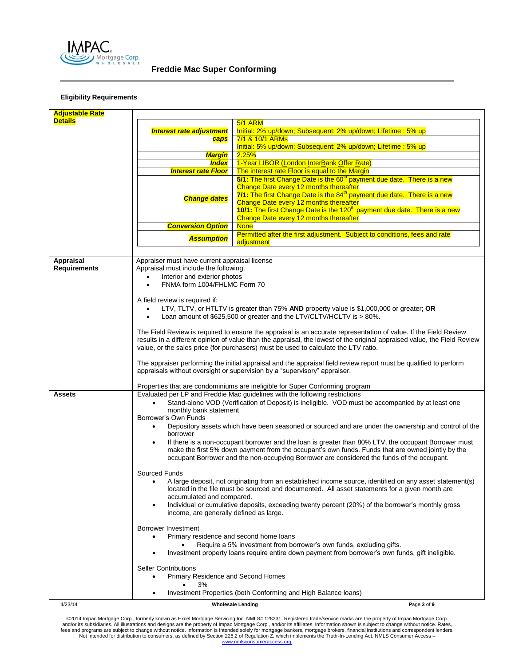

**Freddie Mac Super Conforming** 

# **Eligibility Requirements**

| <b>Adjustable Rate</b> |                                                                                                                                                                                                |                                                                                                                  |  |
|------------------------|------------------------------------------------------------------------------------------------------------------------------------------------------------------------------------------------|------------------------------------------------------------------------------------------------------------------|--|
| <b>Details</b>         |                                                                                                                                                                                                | <b>5/1 ARM</b>                                                                                                   |  |
|                        | <b>Interest rate adjustment</b>                                                                                                                                                                | Initial: 2% up/down; Subsequent: 2% up/down; Lifetime: 5% up                                                     |  |
|                        | caps                                                                                                                                                                                           | 7/1 & 10/1 ARMs                                                                                                  |  |
|                        |                                                                                                                                                                                                | Initial: 5% up/down; Subsequent: 2% up/down; Lifetime: 5% up                                                     |  |
|                        | <b>Margin</b>                                                                                                                                                                                  | 2.25%                                                                                                            |  |
|                        | <b>Index</b>                                                                                                                                                                                   | 1-Year LIBOR (London InterBank Offer Rate)                                                                       |  |
|                        | <b>Interest rate Floor</b>                                                                                                                                                                     | The interest rate Floor is equal to the Margin                                                                   |  |
|                        |                                                                                                                                                                                                | 5/1: The first Change Date is the 60 <sup>th</sup> payment due date. There is a new                              |  |
|                        |                                                                                                                                                                                                | Change Date every 12 months thereafter                                                                           |  |
|                        |                                                                                                                                                                                                | 7/1: The first Change Date is the 84 <sup>th</sup> payment due date. There is a new                              |  |
|                        | <b>Change dates</b>                                                                                                                                                                            |                                                                                                                  |  |
|                        |                                                                                                                                                                                                | Change Date every 12 months thereafter                                                                           |  |
|                        |                                                                                                                                                                                                | 10/1: The first Change Date is the 120 <sup>th</sup> payment due date. There is a new                            |  |
|                        |                                                                                                                                                                                                | Change Date every 12 months thereafter                                                                           |  |
|                        | <b>Conversion Option</b>                                                                                                                                                                       | <b>None</b>                                                                                                      |  |
|                        | <b>Assumption</b>                                                                                                                                                                              | Permitted after the first adjustment. Subject to conditions, fees and rate                                       |  |
|                        |                                                                                                                                                                                                | adjustment                                                                                                       |  |
|                        |                                                                                                                                                                                                |                                                                                                                  |  |
| Appraisal              | Appraiser must have current appraisal license                                                                                                                                                  |                                                                                                                  |  |
| <b>Requirements</b>    | Appraisal must include the following.                                                                                                                                                          |                                                                                                                  |  |
|                        | Interior and exterior photos                                                                                                                                                                   |                                                                                                                  |  |
|                        | FNMA form 1004/FHLMC Form 70<br>$\bullet$                                                                                                                                                      |                                                                                                                  |  |
|                        |                                                                                                                                                                                                |                                                                                                                  |  |
|                        | A field review is required if:                                                                                                                                                                 |                                                                                                                  |  |
|                        |                                                                                                                                                                                                |                                                                                                                  |  |
|                        |                                                                                                                                                                                                | LTV, TLTV, or HTLTV is greater than 75% AND property value is \$1,000,000 or greater; OR                         |  |
|                        |                                                                                                                                                                                                | Loan amount of \$625,500 or greater and the LTV/CLTV/HCLTV is > 80%.                                             |  |
|                        |                                                                                                                                                                                                |                                                                                                                  |  |
|                        |                                                                                                                                                                                                | The Field Review is required to ensure the appraisal is an accurate representation of value. If the Field Review |  |
|                        | results in a different opinion of value than the appraisal, the lowest of the original appraised value, the Field Review                                                                       |                                                                                                                  |  |
|                        | value, or the sales price (for purchasers) must be used to calculate the LTV ratio.                                                                                                            |                                                                                                                  |  |
|                        |                                                                                                                                                                                                |                                                                                                                  |  |
|                        | The appraiser performing the initial appraisal and the appraisal field review report must be qualified to perform<br>appraisals without oversight or supervision by a "supervisory" appraiser. |                                                                                                                  |  |
|                        |                                                                                                                                                                                                |                                                                                                                  |  |
|                        |                                                                                                                                                                                                |                                                                                                                  |  |
|                        |                                                                                                                                                                                                | Properties that are condominiums are ineligible for Super Conforming program                                     |  |
| Assets                 |                                                                                                                                                                                                | Evaluated per LP and Freddie Mac guidelines with the following restrictions                                      |  |
|                        |                                                                                                                                                                                                | Stand-alone VOD (Verification of Deposit) is ineligible. VOD must be accompanied by at least one                 |  |
|                        | monthly bank statement                                                                                                                                                                         |                                                                                                                  |  |
|                        | Borrower's Own Funds                                                                                                                                                                           |                                                                                                                  |  |
|                        | Depository assets which have been seasoned or sourced and are under the ownership and control of the                                                                                           |                                                                                                                  |  |
|                        | borrower                                                                                                                                                                                       |                                                                                                                  |  |
|                        |                                                                                                                                                                                                | If there is a non-occupant borrower and the loan is greater than 80% LTV, the occupant Borrower must             |  |
|                        |                                                                                                                                                                                                | make the first 5% down payment from the occupant's own funds. Funds that are owned jointly by the                |  |
|                        |                                                                                                                                                                                                | occupant Borrower and the non-occupying Borrower are considered the funds of the occupant.                       |  |
|                        |                                                                                                                                                                                                |                                                                                                                  |  |
|                        | Sourced Funds                                                                                                                                                                                  |                                                                                                                  |  |
|                        | A large deposit, not originating from an established income source, identified on any asset statement(s)<br>٠                                                                                  |                                                                                                                  |  |
|                        |                                                                                                                                                                                                | located in the file must be sourced and documented. All asset statements for a given month are                   |  |
|                        | accumulated and compared.                                                                                                                                                                      |                                                                                                                  |  |
|                        | Individual or cumulative deposits, exceeding twenty percent (20%) of the borrower's monthly gross                                                                                              |                                                                                                                  |  |
|                        | income, are generally defined as large.                                                                                                                                                        |                                                                                                                  |  |
|                        |                                                                                                                                                                                                |                                                                                                                  |  |
|                        | Borrower Investment                                                                                                                                                                            |                                                                                                                  |  |
|                        | Primary residence and second home loans<br>$\bullet$                                                                                                                                           |                                                                                                                  |  |
|                        |                                                                                                                                                                                                | Require a 5% investment from borrower's own funds, excluding gifts.                                              |  |
|                        |                                                                                                                                                                                                | Investment property loans require entire down payment from borrower's own funds, gift ineligible.                |  |
|                        |                                                                                                                                                                                                |                                                                                                                  |  |
|                        | <b>Seller Contributions</b>                                                                                                                                                                    |                                                                                                                  |  |
|                        | Primary Residence and Second Homes<br>٠                                                                                                                                                        |                                                                                                                  |  |
|                        |                                                                                                                                                                                                |                                                                                                                  |  |
|                        | 3%                                                                                                                                                                                             |                                                                                                                  |  |
|                        |                                                                                                                                                                                                | Investment Properties (both Conforming and High Balance loans)                                                   |  |
| 4/23/14                |                                                                                                                                                                                                | Page 3 of 9<br><b>Wholesale Lending</b>                                                                          |  |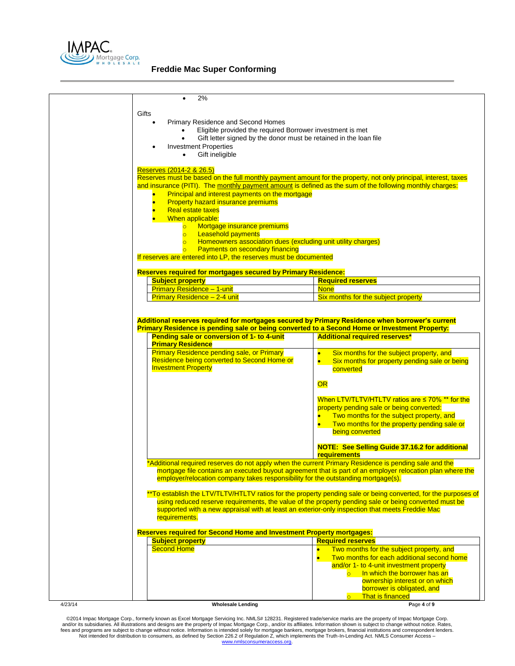

| 2%                                                                                                                                                                                         |                                                                                                                                                                                                                          |
|--------------------------------------------------------------------------------------------------------------------------------------------------------------------------------------------|--------------------------------------------------------------------------------------------------------------------------------------------------------------------------------------------------------------------------|
| Gifts                                                                                                                                                                                      |                                                                                                                                                                                                                          |
| Primary Residence and Second Homes<br>$\bullet$                                                                                                                                            |                                                                                                                                                                                                                          |
| Eligible provided the required Borrower investment is met                                                                                                                                  |                                                                                                                                                                                                                          |
| Gift letter signed by the donor must be retained in the loan file                                                                                                                          |                                                                                                                                                                                                                          |
| <b>Investment Properties</b>                                                                                                                                                               |                                                                                                                                                                                                                          |
| Gift ineligible<br>$\bullet$                                                                                                                                                               |                                                                                                                                                                                                                          |
| Reserves (2014-2 & 26.5)                                                                                                                                                                   |                                                                                                                                                                                                                          |
| Reserves must be based on the full monthly payment amount for the property, not only principal, interest, taxes                                                                            |                                                                                                                                                                                                                          |
| and insurance (PITI). The monthly payment amount is defined as the sum of the following monthly charges:                                                                                   |                                                                                                                                                                                                                          |
| Principal and interest payments on the mortgage                                                                                                                                            |                                                                                                                                                                                                                          |
| <b>Property hazard insurance premiums</b>                                                                                                                                                  |                                                                                                                                                                                                                          |
| <b>Real estate taxes</b>                                                                                                                                                                   |                                                                                                                                                                                                                          |
| When applicable:                                                                                                                                                                           |                                                                                                                                                                                                                          |
| Mortgage insurance premiums<br>$\circ$<br><b>Leasehold payments</b><br>$\overline{\mathsf{O}}$ . The $\overline{\mathsf{O}}$                                                               |                                                                                                                                                                                                                          |
| Homeowners association dues (excluding unit utility charges)<br>$\overline{\circ}$                                                                                                         |                                                                                                                                                                                                                          |
| <b>Payments on secondary financing</b>                                                                                                                                                     |                                                                                                                                                                                                                          |
| If reserves are entered into LP, the reserves must be documented                                                                                                                           |                                                                                                                                                                                                                          |
|                                                                                                                                                                                            |                                                                                                                                                                                                                          |
| <b>Reserves required for mortgages secured by Primary Residence:</b><br><b>Subject property</b>                                                                                            | <b>Required reserves</b>                                                                                                                                                                                                 |
| <b>Primary Residence - 1-unit</b>                                                                                                                                                          | <b>None</b>                                                                                                                                                                                                              |
| Primary Residence - 2-4 unit                                                                                                                                                               | Six months for the subject property                                                                                                                                                                                      |
|                                                                                                                                                                                            |                                                                                                                                                                                                                          |
| <b>Primary Residence pending sale, or Primary</b><br>Residence being converted to Second Home or                                                                                           | Six months for the subject property, and<br>$\bullet$<br>Six months for property pending sale or being<br>$\bullet$                                                                                                      |
| <b>Investment Property</b>                                                                                                                                                                 | converted                                                                                                                                                                                                                |
|                                                                                                                                                                                            | OR                                                                                                                                                                                                                       |
|                                                                                                                                                                                            | When LTV/TLTV/HTLTV ratios are $\leq 70\%$ ** for the                                                                                                                                                                    |
|                                                                                                                                                                                            | property pending sale or being converted:                                                                                                                                                                                |
|                                                                                                                                                                                            | Two months for the subject property, and                                                                                                                                                                                 |
|                                                                                                                                                                                            | Two months for the property pending sale or                                                                                                                                                                              |
|                                                                                                                                                                                            | being converted                                                                                                                                                                                                          |
|                                                                                                                                                                                            | <b>NOTE: See Selling Guide 37.16.2 for additional</b>                                                                                                                                                                    |
|                                                                                                                                                                                            | requirements                                                                                                                                                                                                             |
|                                                                                                                                                                                            |                                                                                                                                                                                                                          |
| *Additional required reserves do not apply when the current Primary Residence is pending sale and the<br>employer/relocation company takes responsibility for the outstanding mortgage(s). | mortgage file contains an executed buyout agreement that is part of an employer relocation plan where the                                                                                                                |
|                                                                                                                                                                                            |                                                                                                                                                                                                                          |
|                                                                                                                                                                                            | ** To establish the LTV/TLTV/HTLTV ratios for the property pending sale or being converted, for the purposes of<br>using reduced reserve requirements, the value of the property pending sale or being converted must be |
| supported with a new appraisal with at least an exterior-only inspection that meets Freddie Mac<br>requirements.                                                                           |                                                                                                                                                                                                                          |
|                                                                                                                                                                                            |                                                                                                                                                                                                                          |
|                                                                                                                                                                                            |                                                                                                                                                                                                                          |
| <b>Subject property</b>                                                                                                                                                                    | <b>Required reserves</b>                                                                                                                                                                                                 |
| <b>Second Home</b>                                                                                                                                                                         | Two months for the subject property, and<br>$\bullet$                                                                                                                                                                    |
|                                                                                                                                                                                            | Two months for each additional second home<br>$\bullet$                                                                                                                                                                  |
| <b>Reserves required for Second Home and Investment Property mortgages:</b>                                                                                                                | and/or 1- to 4-unit investment property<br>In which the borrower has an<br>$\overline{\circ}$                                                                                                                            |
|                                                                                                                                                                                            | ownership interest or on which                                                                                                                                                                                           |
|                                                                                                                                                                                            | borrower is obligated, and                                                                                                                                                                                               |
| Wholesale Lending                                                                                                                                                                          | That is financed<br>$\overline{\bullet}$ $\overline{\bullet}$<br>Page 4 of 9                                                                                                                                             |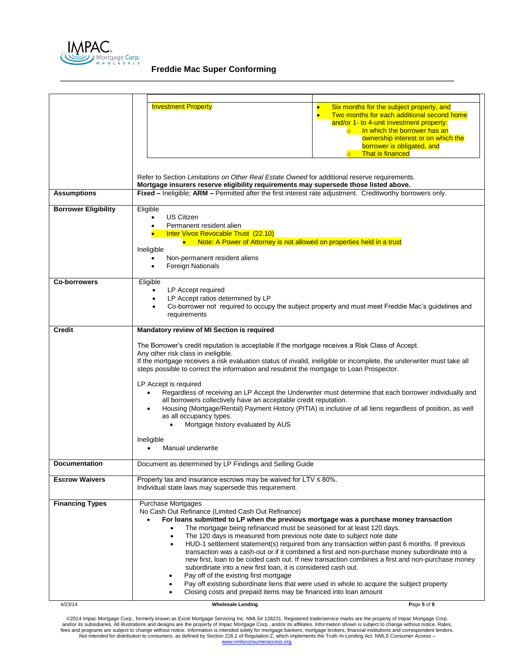

**Freddie Mac Super Conforming** 

|                             | <b>Investment Property</b>                                                                                                                                                                                                                                                                                                                                                                                                                                                                                | Six months for the subject property, and<br>$\bullet$<br>$\bullet$<br>Two months for each additional second home<br>and/or 1- to 4-unit investment property:<br>In which the borrower has an<br>$\overline{\mathsf{O}}$ . The $\overline{\mathsf{O}}$<br>ownership interest or on which the<br>borrower is obligated, and<br><b>That is financed</b><br>$\overline{\mathsf{O}}$ . $\overline{\mathsf{O}}$ |  |
|-----------------------------|-----------------------------------------------------------------------------------------------------------------------------------------------------------------------------------------------------------------------------------------------------------------------------------------------------------------------------------------------------------------------------------------------------------------------------------------------------------------------------------------------------------|-----------------------------------------------------------------------------------------------------------------------------------------------------------------------------------------------------------------------------------------------------------------------------------------------------------------------------------------------------------------------------------------------------------|--|
|                             | Refer to Section Limitations on Other Real Estate Owned for additional reserve requirements.<br>Mortgage insurers reserve eligibility requirements may supersede those listed above.                                                                                                                                                                                                                                                                                                                      |                                                                                                                                                                                                                                                                                                                                                                                                           |  |
| <b>Assumptions</b>          | Fixed - Ineligible; ARM - Permitted after the first interest rate adjustment. Creditworthy borrowers only.                                                                                                                                                                                                                                                                                                                                                                                                |                                                                                                                                                                                                                                                                                                                                                                                                           |  |
| <b>Borrower Eligibility</b> | Eligible<br><b>US Citizen</b><br>Permanent resident alien<br>Inter Vivos Revocable Trust (22.10)                                                                                                                                                                                                                                                                                                                                                                                                          |                                                                                                                                                                                                                                                                                                                                                                                                           |  |
|                             | • Note: A Power of Attorney is not allowed on properties held in a trust<br>Ineligible<br>Non-permanent resident aliens<br><b>Foreign Nationals</b>                                                                                                                                                                                                                                                                                                                                                       |                                                                                                                                                                                                                                                                                                                                                                                                           |  |
| <b>Co-borrowers</b>         | Eligible<br>LP Accept required<br>LP Accept ratios determined by LP<br>٠<br>requirements                                                                                                                                                                                                                                                                                                                                                                                                                  | Co-borrower not required to occupy the subject property and must meet Freddie Mac's guidelines and                                                                                                                                                                                                                                                                                                        |  |
| Credit                      | Mandatory review of MI Section is required                                                                                                                                                                                                                                                                                                                                                                                                                                                                |                                                                                                                                                                                                                                                                                                                                                                                                           |  |
|                             | The Borrower's credit reputation is acceptable if the mortgage receives a Risk Class of Accept.<br>Any other risk class in ineligible.<br>If the mortgage receives a risk evaluation status of invalid, ineligible or incomplete, the underwriter must take all<br>steps possible to correct the information and resubmit the mortgage to Loan Prospector.                                                                                                                                                |                                                                                                                                                                                                                                                                                                                                                                                                           |  |
|                             | LP Accept is required<br>all borrowers collectively have an acceptable credit reputation.<br>as all occupancy types.<br>Mortgage history evaluated by AUS                                                                                                                                                                                                                                                                                                                                                 | Regardless of receiving an LP Accept the Underwriter must determine that each borrower individually and<br>Housing (Mortgage/Rental) Payment History (PITIA) is inclusive of all liens regardless of position, as well                                                                                                                                                                                    |  |
|                             | Ineligible<br>Manual underwrite                                                                                                                                                                                                                                                                                                                                                                                                                                                                           |                                                                                                                                                                                                                                                                                                                                                                                                           |  |
| <b>Documentation</b>        | Document as determined by LP Findings and Selling Guide                                                                                                                                                                                                                                                                                                                                                                                                                                                   |                                                                                                                                                                                                                                                                                                                                                                                                           |  |
| <b>Escrow Waivers</b>       | Property tax and insurance escrows may be waived for $LTV \leq 80\%$ .<br>Individual state laws may supersede this requirement.                                                                                                                                                                                                                                                                                                                                                                           |                                                                                                                                                                                                                                                                                                                                                                                                           |  |
| <b>Financing Types</b>      | <b>Purchase Mortgages</b><br>No Cash Out Refinance (Limited Cash Out Refinance)<br>For loans submitted to LP when the previous mortgage was a purchase money transaction<br>The mortgage being refinanced must be seasoned for at least 120 days.<br>The 120 days is measured from previous note date to subject note date<br>subordinate into a new first loan, it is considered cash out.<br>Pay off of the existing first mortgage<br>Closing costs and prepaid items may be financed into loan amount | HUD-1 settlement statement(s) required from any transaction within past 6 months. If previous<br>transaction was a cash-out or if it combined a first and non-purchase money subordinate into a<br>new first, loan to be coded cash out. If new transaction combines a first and non-purchase money<br>Pay off existing subordinate liens that were used in whole to acquire the subject property         |  |
| 4/23/14                     | <b>Wholesale Lending</b>                                                                                                                                                                                                                                                                                                                                                                                                                                                                                  | Page 5 of 9                                                                                                                                                                                                                                                                                                                                                                                               |  |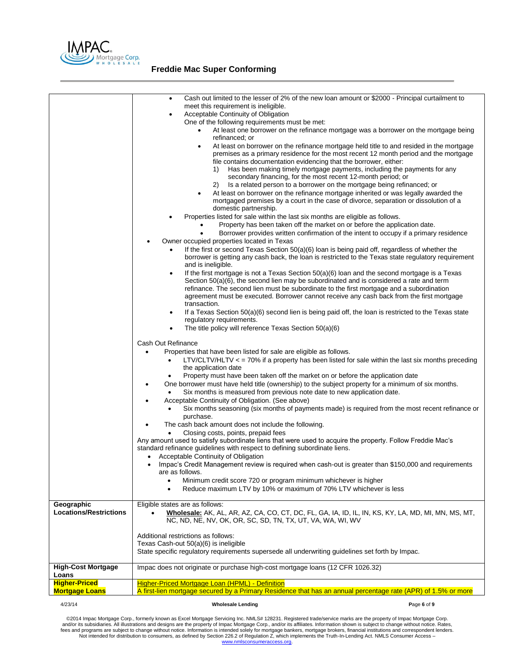

| Geographic<br><b>Locations/Restrictions</b> | $\bullet$<br>meet this requirement is ineligible.<br>Acceptable Continuity of Obligation<br>One of the following requirements must be met:<br>refinanced; or<br>$\bullet$<br>1)<br>2)<br>domestic partnership.<br>Properties listed for sale within the last six months are eligible as follows.<br>Owner occupied properties located in Texas<br>and is ineligible.<br>transaction.<br>regulatory requirements.<br>The title policy will reference Texas Section 50(a)(6)<br>Cash Out Refinance<br>Properties that have been listed for sale are eligible as follows.<br>$\bullet$<br>$\bullet$<br>the application date<br>Property must have been taken off the market on or before the application date<br>٠<br>Six months is measured from previous note date to new application date.<br>Acceptable Continuity of Obligation. (See above)<br>purchase.<br>The cash back amount does not include the following.<br>Closing costs, points, prepaid fees<br>Any amount used to satisfy subordinate liens that were used to acquire the property. Follow Freddie Mac's<br>standard refinance guidelines with respect to defining subordinate liens.<br>Acceptable Continuity of Obligation<br>٠<br>are as follows.<br>Minimum credit score 720 or program minimum whichever is higher<br>$\bullet$<br>Reduce maximum LTV by 10% or maximum of 70% LTV whichever is less<br>Eligible states are as follows:<br>NC, ND, NE, NV, OK, OR, SC, SD, TN, TX, UT, VA, WA, WI, WV | Cash out limited to the lesser of 2% of the new loan amount or \$2000 - Principal curtailment to<br>At least one borrower on the refinance mortgage was a borrower on the mortgage being<br>At least on borrower on the refinance mortgage held title to and resided in the mortgage<br>premises as a primary residence for the most recent 12 month period and the mortgage<br>file contains documentation evidencing that the borrower, either:<br>Has been making timely mortgage payments, including the payments for any<br>secondary financing, for the most recent 12-month period; or<br>Is a related person to a borrower on the mortgage being refinanced; or<br>At least on borrower on the refinance mortgage inherited or was legally awarded the<br>mortgaged premises by a court in the case of divorce, separation or dissolution of a<br>Property has been taken off the market on or before the application date.<br>Borrower provides written confirmation of the intent to occupy if a primary residence<br>If the first or second Texas Section 50(a)(6) loan is being paid off, regardless of whether the<br>borrower is getting any cash back, the loan is restricted to the Texas state regulatory requirement<br>If the first mortgage is not a Texas Section $50(a)(6)$ loan and the second mortgage is a Texas<br>Section $50(a)(6)$ , the second lien may be subordinated and is considered a rate and term<br>refinance. The second lien must be subordinate to the first mortgage and a subordination<br>agreement must be executed. Borrower cannot receive any cash back from the first mortgage<br>If a Texas Section 50(a)(6) second lien is being paid off, the loan is restricted to the Texas state<br>$LTV/CLTV/HLTV <$ = 70% if a property has been listed for sale within the last six months preceding<br>One borrower must have held title (ownership) to the subject property for a minimum of six months.<br>Six months seasoning (six months of payments made) is required from the most recent refinance or<br>Impac's Credit Management review is required when cash-out is greater than \$150,000 and requirements<br>Wholesale: AK, AL, AR, AZ, CA, CO, CT, DC, FL, GA, IA, ID, IL, IN, KS, KY, LA, MD, MI, MN, MS, MT, |
|---------------------------------------------|---------------------------------------------------------------------------------------------------------------------------------------------------------------------------------------------------------------------------------------------------------------------------------------------------------------------------------------------------------------------------------------------------------------------------------------------------------------------------------------------------------------------------------------------------------------------------------------------------------------------------------------------------------------------------------------------------------------------------------------------------------------------------------------------------------------------------------------------------------------------------------------------------------------------------------------------------------------------------------------------------------------------------------------------------------------------------------------------------------------------------------------------------------------------------------------------------------------------------------------------------------------------------------------------------------------------------------------------------------------------------------------------------------------------------------------------------------------------------|--------------------------------------------------------------------------------------------------------------------------------------------------------------------------------------------------------------------------------------------------------------------------------------------------------------------------------------------------------------------------------------------------------------------------------------------------------------------------------------------------------------------------------------------------------------------------------------------------------------------------------------------------------------------------------------------------------------------------------------------------------------------------------------------------------------------------------------------------------------------------------------------------------------------------------------------------------------------------------------------------------------------------------------------------------------------------------------------------------------------------------------------------------------------------------------------------------------------------------------------------------------------------------------------------------------------------------------------------------------------------------------------------------------------------------------------------------------------------------------------------------------------------------------------------------------------------------------------------------------------------------------------------------------------------------------------------------------------------------------------------------------------------------------------------------------------------------------------------------------------------------------------------------------------------------------------------------------------------------------------------------------------------------------------------------------------------------------------------------------------------------------------------------------------------------------------------------------------------------------------------------------------------|
|                                             |                                                                                                                                                                                                                                                                                                                                                                                                                                                                                                                                                                                                                                                                                                                                                                                                                                                                                                                                                                                                                                                                                                                                                                                                                                                                                                                                                                                                                                                                           |                                                                                                                                                                                                                                                                                                                                                                                                                                                                                                                                                                                                                                                                                                                                                                                                                                                                                                                                                                                                                                                                                                                                                                                                                                                                                                                                                                                                                                                                                                                                                                                                                                                                                                                                                                                                                                                                                                                                                                                                                                                                                                                                                                                                                                                                          |
|                                             | Additional restrictions as follows:<br>Texas Cash-out 50(a)(6) is ineligible                                                                                                                                                                                                                                                                                                                                                                                                                                                                                                                                                                                                                                                                                                                                                                                                                                                                                                                                                                                                                                                                                                                                                                                                                                                                                                                                                                                              |                                                                                                                                                                                                                                                                                                                                                                                                                                                                                                                                                                                                                                                                                                                                                                                                                                                                                                                                                                                                                                                                                                                                                                                                                                                                                                                                                                                                                                                                                                                                                                                                                                                                                                                                                                                                                                                                                                                                                                                                                                                                                                                                                                                                                                                                          |
|                                             | State specific regulatory requirements supersede all underwriting quidelines set forth by Impac.                                                                                                                                                                                                                                                                                                                                                                                                                                                                                                                                                                                                                                                                                                                                                                                                                                                                                                                                                                                                                                                                                                                                                                                                                                                                                                                                                                          |                                                                                                                                                                                                                                                                                                                                                                                                                                                                                                                                                                                                                                                                                                                                                                                                                                                                                                                                                                                                                                                                                                                                                                                                                                                                                                                                                                                                                                                                                                                                                                                                                                                                                                                                                                                                                                                                                                                                                                                                                                                                                                                                                                                                                                                                          |
| <b>High-Cost Mortgage</b><br>Loans          | Impac does not originate or purchase high-cost mortgage loans (12 CFR 1026.32)                                                                                                                                                                                                                                                                                                                                                                                                                                                                                                                                                                                                                                                                                                                                                                                                                                                                                                                                                                                                                                                                                                                                                                                                                                                                                                                                                                                            |                                                                                                                                                                                                                                                                                                                                                                                                                                                                                                                                                                                                                                                                                                                                                                                                                                                                                                                                                                                                                                                                                                                                                                                                                                                                                                                                                                                                                                                                                                                                                                                                                                                                                                                                                                                                                                                                                                                                                                                                                                                                                                                                                                                                                                                                          |
| <b>Higher-Priced</b>                        | <b>Higher-Priced Mortgage Loan (HPML) - Definition</b>                                                                                                                                                                                                                                                                                                                                                                                                                                                                                                                                                                                                                                                                                                                                                                                                                                                                                                                                                                                                                                                                                                                                                                                                                                                                                                                                                                                                                    |                                                                                                                                                                                                                                                                                                                                                                                                                                                                                                                                                                                                                                                                                                                                                                                                                                                                                                                                                                                                                                                                                                                                                                                                                                                                                                                                                                                                                                                                                                                                                                                                                                                                                                                                                                                                                                                                                                                                                                                                                                                                                                                                                                                                                                                                          |
| <b>Mortgage Loans</b>                       |                                                                                                                                                                                                                                                                                                                                                                                                                                                                                                                                                                                                                                                                                                                                                                                                                                                                                                                                                                                                                                                                                                                                                                                                                                                                                                                                                                                                                                                                           | A first-lien mortgage secured by a Primary Residence that has an annual percentage rate (APR) of 1.5% or more                                                                                                                                                                                                                                                                                                                                                                                                                                                                                                                                                                                                                                                                                                                                                                                                                                                                                                                                                                                                                                                                                                                                                                                                                                                                                                                                                                                                                                                                                                                                                                                                                                                                                                                                                                                                                                                                                                                                                                                                                                                                                                                                                            |
| 4/23/14                                     | <b>Wholesale Lending</b>                                                                                                                                                                                                                                                                                                                                                                                                                                                                                                                                                                                                                                                                                                                                                                                                                                                                                                                                                                                                                                                                                                                                                                                                                                                                                                                                                                                                                                                  | Page 6 of 9                                                                                                                                                                                                                                                                                                                                                                                                                                                                                                                                                                                                                                                                                                                                                                                                                                                                                                                                                                                                                                                                                                                                                                                                                                                                                                                                                                                                                                                                                                                                                                                                                                                                                                                                                                                                                                                                                                                                                                                                                                                                                                                                                                                                                                                              |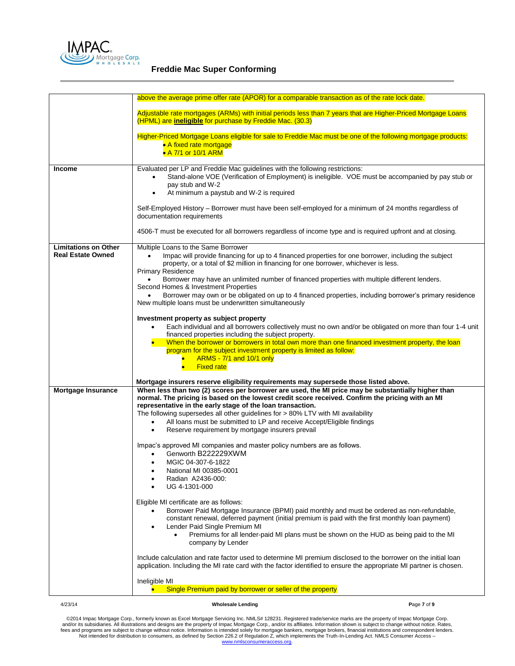

|                                                         | above the average prime offer rate (APOR) for a comparable transaction as of the rate lock date.                                                                                                                                                                                                                                                                                                                                                                                                                                                                                                         |
|---------------------------------------------------------|----------------------------------------------------------------------------------------------------------------------------------------------------------------------------------------------------------------------------------------------------------------------------------------------------------------------------------------------------------------------------------------------------------------------------------------------------------------------------------------------------------------------------------------------------------------------------------------------------------|
|                                                         | Adjustable rate mortgages (ARMs) with initial periods less than 7 years that are Higher-Priced Mortgage Loans<br>(HPML) are <i>ineligible</i> for purchase by Freddie Mac. (30.3)                                                                                                                                                                                                                                                                                                                                                                                                                        |
|                                                         | Higher-Priced Mortgage Loans eligible for sale to Freddie Mac must be one of the following mortgage products:<br>• A fixed rate mortgage<br>• A 7/1 or 10/1 ARM                                                                                                                                                                                                                                                                                                                                                                                                                                          |
| <b>Income</b>                                           | Evaluated per LP and Freddie Mac guidelines with the following restrictions:<br>Stand-alone VOE (Verification of Employment) is ineligible. VOE must be accompanied by pay stub or<br>pay stub and W-2<br>At minimum a paystub and W-2 is required<br>٠                                                                                                                                                                                                                                                                                                                                                  |
|                                                         | Self-Employed History - Borrower must have been self-employed for a minimum of 24 months regardless of<br>documentation requirements                                                                                                                                                                                                                                                                                                                                                                                                                                                                     |
|                                                         | 4506-T must be executed for all borrowers regardless of income type and is required upfront and at closing.                                                                                                                                                                                                                                                                                                                                                                                                                                                                                              |
| <b>Limitations on Other</b><br><b>Real Estate Owned</b> | Multiple Loans to the Same Borrower<br>Impac will provide financing for up to 4 financed properties for one borrower, including the subject<br>property, or a total of \$2 million in financing for one borrower, whichever is less.<br><b>Primary Residence</b><br>Borrower may have an unlimited number of financed properties with multiple different lenders.                                                                                                                                                                                                                                        |
|                                                         | Second Homes & Investment Properties<br>Borrower may own or be obligated on up to 4 financed properties, including borrower's primary residence<br>New multiple loans must be underwritten simultaneously                                                                                                                                                                                                                                                                                                                                                                                                |
|                                                         | Investment property as subject property<br>Each individual and all borrowers collectively must no own and/or be obligated on more than four 1-4 unit<br>financed properties including the subject property.<br>When the borrower or borrowers in total own more than one financed investment property, the loan<br>program for the subject investment property is limited as follow:<br>ARMS - 7/1 and 10/1 only<br>$\bullet$                                                                                                                                                                            |
|                                                         | <b>Fixed rate</b><br>$\bullet$ .                                                                                                                                                                                                                                                                                                                                                                                                                                                                                                                                                                         |
| Mortgage Insurance                                      | Mortgage insurers reserve eligibility requirements may supersede those listed above.<br>When less than two (2) scores per borrower are used, the MI price may be substantially higher than<br>normal. The pricing is based on the lowest credit score received. Confirm the pricing with an MI<br>representative in the early stage of the loan transaction.<br>The following supersedes all other guidelines for > 80% LTV with MI availability<br>All loans must be submitted to LP and receive Accept/Eligible findings<br>$\bullet$<br>Reserve requirement by mortgage insurers prevail<br>$\bullet$ |
|                                                         | Impac's approved MI companies and master policy numbers are as follows.<br>Genworth B222229XWM<br>MGIC 04-307-6-1822<br>$\bullet$<br>National MI 00385-0001<br>Radian A2436-000:<br>UG 4-1301-000                                                                                                                                                                                                                                                                                                                                                                                                        |
|                                                         | Eligible MI certificate are as follows:<br>Borrower Paid Mortgage Insurance (BPMI) paid monthly and must be ordered as non-refundable,<br>constant renewal, deferred payment (initial premium is paid with the first monthly loan payment)<br>Lender Paid Single Premium MI<br>$\bullet$<br>Premiums for all lender-paid MI plans must be shown on the HUD as being paid to the MI<br>$\bullet$<br>company by Lender                                                                                                                                                                                     |
|                                                         | Include calculation and rate factor used to determine MI premium disclosed to the borrower on the initial loan<br>application. Including the MI rate card with the factor identified to ensure the appropriate MI partner is chosen.                                                                                                                                                                                                                                                                                                                                                                     |
|                                                         | Ineligible MI<br>Single Premium paid by borrower or seller of the property                                                                                                                                                                                                                                                                                                                                                                                                                                                                                                                               |

4/23/14 **Wholesale Lending P**age **7** of **9**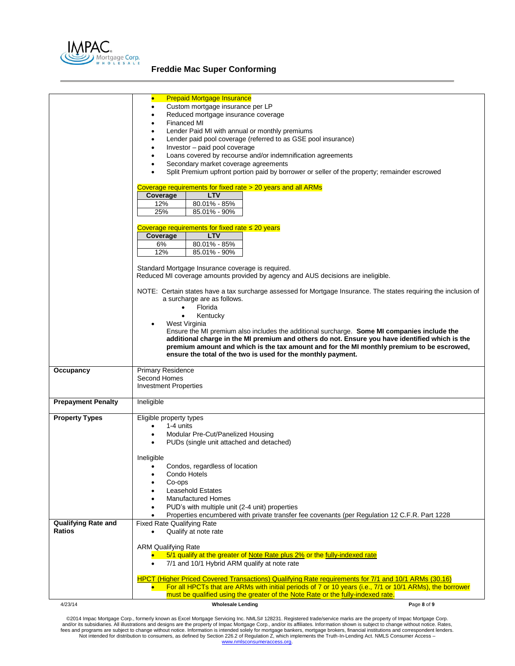

|                            | <b>Prepaid Mortgage Insurance</b><br>$\bullet$<br>Custom mortgage insurance per LP                                         |
|----------------------------|----------------------------------------------------------------------------------------------------------------------------|
|                            | Reduced mortgage insurance coverage                                                                                        |
|                            | Financed MI                                                                                                                |
|                            | Lender Paid MI with annual or monthly premiums<br>$\bullet$                                                                |
|                            | Lender paid pool coverage (referred to as GSE pool insurance)<br>Investor - paid pool coverage                             |
|                            | Loans covered by recourse and/or indemnification agreements                                                                |
|                            | Secondary market coverage agreements                                                                                       |
|                            | Split Premium upfront portion paid by borrower or seller of the property; remainder escrowed                               |
|                            | Coverage requirements for fixed rate > 20 years and all ARMs                                                               |
|                            | Coverage<br><b>LTV</b>                                                                                                     |
|                            | 12%<br>80.01% - 85%                                                                                                        |
|                            | 25%<br>85.01% - 90%                                                                                                        |
|                            | Coverage requirements for fixed rate $\leq 20$ years                                                                       |
|                            | <b>LTV</b><br>Coverage                                                                                                     |
|                            | 80.01% - 85%<br>6%                                                                                                         |
|                            | 85.01% - 90%<br>12%                                                                                                        |
|                            | Standard Mortgage Insurance coverage is required.                                                                          |
|                            | Reduced MI coverage amounts provided by agency and AUS decisions are ineligible.                                           |
|                            | NOTE: Certain states have a tax surcharge assessed for Mortgage Insurance. The states requiring the inclusion of           |
|                            | a surcharge are as follows.                                                                                                |
|                            | Florida<br>$\bullet$                                                                                                       |
|                            | Kentucky                                                                                                                   |
|                            | West Virginia<br>Ensure the MI premium also includes the additional surcharge. Some MI companies include the               |
|                            | additional charge in the MI premium and others do not. Ensure you have identified which is the                             |
|                            | premium amount and which is the tax amount and for the MI monthly premium to be escrowed,                                  |
|                            | ensure the total of the two is used for the monthly payment.                                                               |
| Occupancy                  | <b>Primary Residence</b>                                                                                                   |
|                            | Second Homes                                                                                                               |
|                            | <b>Investment Properties</b>                                                                                               |
| <b>Prepayment Penalty</b>  | Ineligible                                                                                                                 |
| <b>Property Types</b>      | Eligible property types                                                                                                    |
|                            | 1-4 units                                                                                                                  |
|                            | Modular Pre-Cut/Panelized Housing                                                                                          |
|                            | PUDs (single unit attached and detached)                                                                                   |
|                            | Ineligible                                                                                                                 |
|                            | Condos, regardless of location<br>$\bullet$                                                                                |
|                            | Condo Hotels                                                                                                               |
|                            | Co-ops                                                                                                                     |
|                            | <b>Leasehold Estates</b><br><b>Manufactured Homes</b>                                                                      |
|                            | PUD's with multiple unit (2-4 unit) properties                                                                             |
|                            | Properties encumbered with private transfer fee covenants (per Regulation 12 C.F.R. Part 1228                              |
| <b>Qualifying Rate and</b> | <b>Fixed Rate Qualifying Rate</b>                                                                                          |
| <b>Ratios</b>              | Qualify at note rate                                                                                                       |
|                            | <b>ARM Qualifying Rate</b>                                                                                                 |
|                            | 5/1 qualify at the greater of Note Rate plus 2% or the fully-indexed rate                                                  |
|                            | 7/1 and 10/1 Hybrid ARM qualify at note rate<br>$\bullet$                                                                  |
|                            | HPCT (Higher Priced Covered Transactions) Qualifying Rate requirements for 7/1 and 10/1 ARMs (30.16)                       |
|                            | For all HPCTs that are ARMs with initial periods of 7 or 10 years (i.e., 7/1 or 10/1 ARMs), the borrower                   |
| 4/23/14                    | must be qualified using the greater of the Note Rate or the fully-indexed rate.<br><b>Wholesale Lending</b><br>Page 8 of 9 |
|                            |                                                                                                                            |